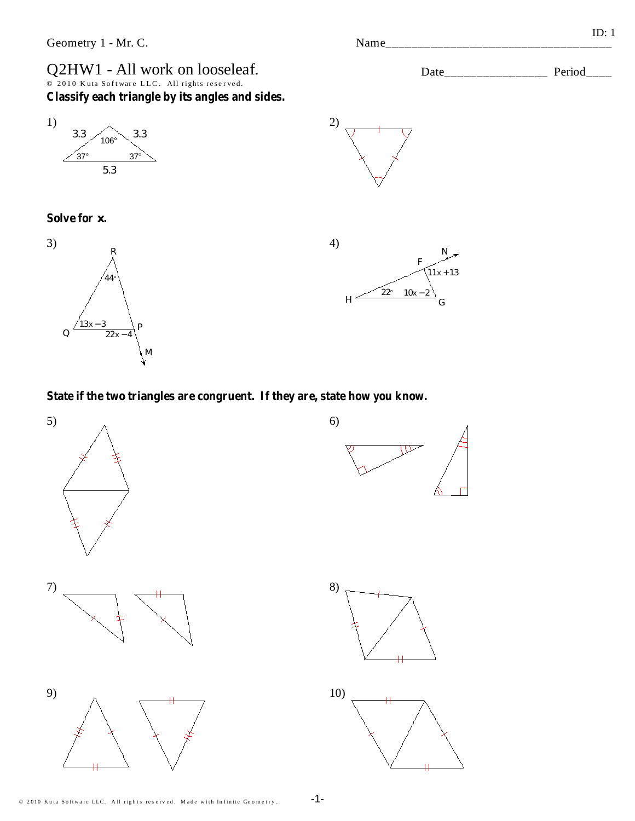## Q2HW1 - All work on looseleaf. 2010 Kuta Software LLC. All rights reserved. Classify each triangle by its angles and sides.







4)  $1x + 13$  $22^{\circ}$  10x - $H^{-}$ 

 $(2)$ 

State if the two triangles are congruent. If they are, state how you know.



 $ID: 1$ Name\_ Period